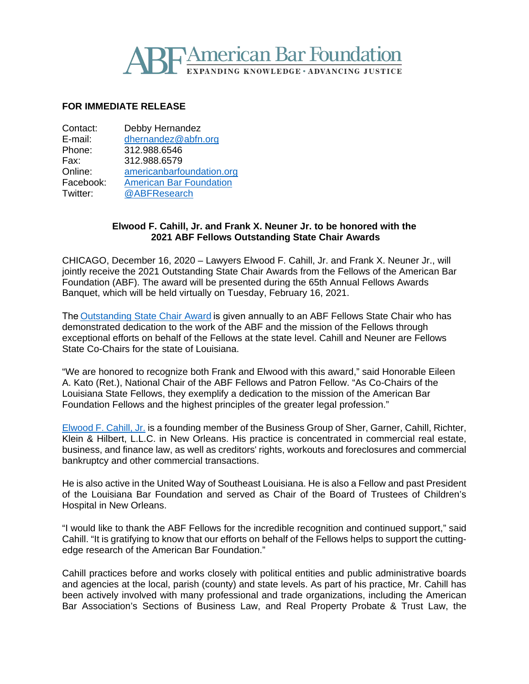# **Hamerican Bar Foundation NDING KNOWLEDGE • ADVANCING JUSTICE**

## **FOR IMMEDIATE RELEASE**

| Contact:  | Debby Hernandez                |
|-----------|--------------------------------|
| E-mail:   | dhernandez@abfn.org            |
| Phone:    | 312.988.6546                   |
| Fax:      | 312.988.6579                   |
| Online:   | americanbarfoundation.org      |
| Facebook: | <b>American Bar Foundation</b> |
| Twitter:  | @ABFResearch                   |
|           |                                |

#### **Elwood F. Cahill, Jr. and Frank X. Neuner Jr. to be honored with the 2021 ABF Fellows Outstanding State Chair Awards**

CHICAGO, December 16, 2020 – Lawyers Elwood F. Cahill, Jr. and Frank X. Neuner Jr., will jointly receive the 2021 Outstanding State Chair Awards from the Fellows of the American Bar Foundation (ABF). The award will be presented during the 65th Annual Fellows Awards Banquet, which will be held virtually on Tuesday, February 16, 2021.

The [Outstanding State Chair Award](http://www.americanbarfoundation.org/fellows/Fellowsawards.html) is given annually to an ABF Fellows State Chair who has demonstrated dedication to the work of the ABF and the mission of the Fellows through exceptional efforts on behalf of the Fellows at the state level. Cahill and Neuner are Fellows State Co-Chairs for the state of Louisiana.

"We are honored to recognize both Frank and Elwood with this award," said Honorable Eileen A. Kato (Ret.), National Chair of the ABF Fellows and Patron Fellow. "As Co-Chairs of the Louisiana State Fellows, they exemplify a dedication to the mission of the American Bar Foundation Fellows and the highest principles of the greater legal profession."

[Elwood F. Cahill, Jr.](https://www.shergarner.com/attorney/cahill-elwood-f-jr/) is a founding member of the Business Group of Sher, Garner, Cahill, Richter, Klein & Hilbert, L.L.C. in New Orleans. His practice is concentrated in commercial real estate, business, and finance law, as well as creditors' rights, workouts and foreclosures and commercial bankruptcy and other commercial transactions.

He is also active in the United Way of Southeast Louisiana. He is also a Fellow and past President of the Louisiana Bar Foundation and served as Chair of the Board of Trustees of Children's Hospital in New Orleans.

"I would like to thank the ABF Fellows for the incredible recognition and continued support," said Cahill. "It is gratifying to know that our efforts on behalf of the Fellows helps to support the cuttingedge research of the American Bar Foundation."

Cahill practices before and works closely with political entities and public administrative boards and agencies at the local, parish (county) and state levels. As part of his practice, Mr. Cahill has been actively involved with many professional and trade organizations, including the American Bar Association's Sections of Business Law, and Real Property Probate & Trust Law, the